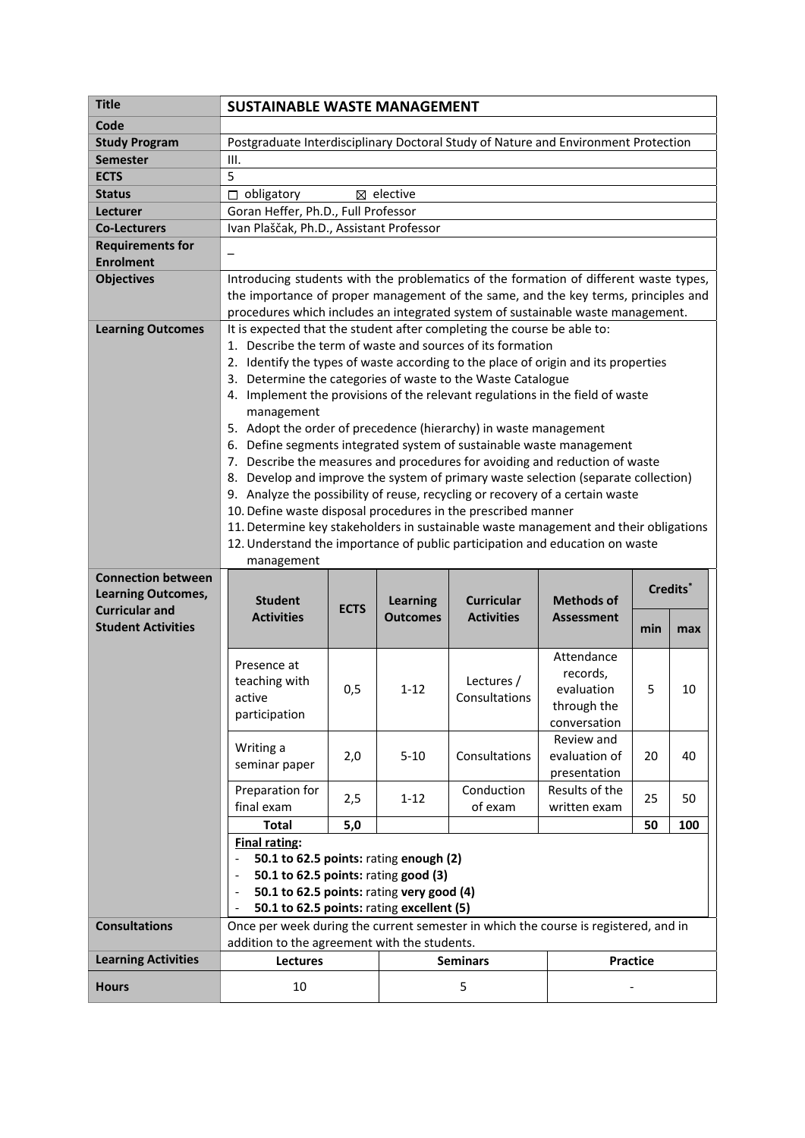| <b>Title</b>                                       | <b>SUSTAINABLE WASTE MANAGEMENT</b>                                                                                                                                         |             |                      |                   |                               |                 |     |  |
|----------------------------------------------------|-----------------------------------------------------------------------------------------------------------------------------------------------------------------------------|-------------|----------------------|-------------------|-------------------------------|-----------------|-----|--|
| Code                                               |                                                                                                                                                                             |             |                      |                   |                               |                 |     |  |
| <b>Study Program</b>                               | Postgraduate Interdisciplinary Doctoral Study of Nature and Environment Protection                                                                                          |             |                      |                   |                               |                 |     |  |
| <b>Semester</b>                                    | III.                                                                                                                                                                        |             |                      |                   |                               |                 |     |  |
| <b>ECTS</b>                                        | 5                                                                                                                                                                           |             |                      |                   |                               |                 |     |  |
| <b>Status</b>                                      | obligatory<br>$\Box$                                                                                                                                                        |             | $\boxtimes$ elective |                   |                               |                 |     |  |
| Lecturer                                           | Goran Heffer, Ph.D., Full Professor                                                                                                                                         |             |                      |                   |                               |                 |     |  |
| <b>Co-Lecturers</b>                                | Ivan Plaščak, Ph.D., Assistant Professor                                                                                                                                    |             |                      |                   |                               |                 |     |  |
| <b>Requirements for</b>                            |                                                                                                                                                                             |             |                      |                   |                               |                 |     |  |
| <b>Enrolment</b>                                   |                                                                                                                                                                             |             |                      |                   |                               |                 |     |  |
| <b>Objectives</b>                                  | Introducing students with the problematics of the formation of different waste types,<br>the importance of proper management of the same, and the key terms, principles and |             |                      |                   |                               |                 |     |  |
|                                                    |                                                                                                                                                                             |             |                      |                   |                               |                 |     |  |
|                                                    | procedures which includes an integrated system of sustainable waste management.                                                                                             |             |                      |                   |                               |                 |     |  |
| <b>Learning Outcomes</b>                           | It is expected that the student after completing the course be able to:                                                                                                     |             |                      |                   |                               |                 |     |  |
|                                                    | 1. Describe the term of waste and sources of its formation                                                                                                                  |             |                      |                   |                               |                 |     |  |
|                                                    | 2. Identify the types of waste according to the place of origin and its properties                                                                                          |             |                      |                   |                               |                 |     |  |
|                                                    | 3. Determine the categories of waste to the Waste Catalogue<br>4. Implement the provisions of the relevant regulations in the field of waste                                |             |                      |                   |                               |                 |     |  |
|                                                    | management                                                                                                                                                                  |             |                      |                   |                               |                 |     |  |
|                                                    | 5. Adopt the order of precedence (hierarchy) in waste management                                                                                                            |             |                      |                   |                               |                 |     |  |
|                                                    | 6. Define segments integrated system of sustainable waste management                                                                                                        |             |                      |                   |                               |                 |     |  |
|                                                    | 7. Describe the measures and procedures for avoiding and reduction of waste                                                                                                 |             |                      |                   |                               |                 |     |  |
|                                                    | 8. Develop and improve the system of primary waste selection (separate collection)                                                                                          |             |                      |                   |                               |                 |     |  |
|                                                    | 9. Analyze the possibility of reuse, recycling or recovery of a certain waste                                                                                               |             |                      |                   |                               |                 |     |  |
|                                                    | 10. Define waste disposal procedures in the prescribed manner                                                                                                               |             |                      |                   |                               |                 |     |  |
|                                                    | 11. Determine key stakeholders in sustainable waste management and their obligations                                                                                        |             |                      |                   |                               |                 |     |  |
|                                                    | 12. Understand the importance of public participation and education on waste                                                                                                |             |                      |                   |                               |                 |     |  |
|                                                    | management                                                                                                                                                                  |             |                      |                   |                               |                 |     |  |
| <b>Connection between</b>                          | Credits <sup>*</sup>                                                                                                                                                        |             |                      |                   |                               |                 |     |  |
| <b>Learning Outcomes,</b><br><b>Curricular and</b> | <b>Student</b>                                                                                                                                                              | <b>ECTS</b> | <b>Learning</b>      | <b>Curricular</b> | <b>Methods of</b>             |                 |     |  |
| <b>Student Activities</b>                          | <b>Activities</b>                                                                                                                                                           |             | <b>Outcomes</b>      | <b>Activities</b> | <b>Assessment</b>             | min             | max |  |
|                                                    |                                                                                                                                                                             |             |                      |                   |                               |                 |     |  |
|                                                    | Presence at                                                                                                                                                                 |             |                      |                   | Attendance                    |                 |     |  |
|                                                    | teaching with                                                                                                                                                               |             |                      | Lectures /        | records,                      |                 |     |  |
|                                                    | active                                                                                                                                                                      | 0,5         | $1 - 12$             | Consultations     | evaluation                    | 5               | 10  |  |
|                                                    | participation                                                                                                                                                               |             |                      |                   | through the                   |                 |     |  |
|                                                    |                                                                                                                                                                             |             |                      |                   | conversation                  |                 |     |  |
|                                                    | Writing a                                                                                                                                                                   |             |                      |                   | Review and                    |                 | 40  |  |
|                                                    | seminar paper                                                                                                                                                               | 2,0         | $5 - 10$             | Consultations     | evaluation of<br>presentation | 20              |     |  |
|                                                    | Preparation for                                                                                                                                                             |             |                      | Conduction        | Results of the                |                 |     |  |
|                                                    | final exam                                                                                                                                                                  | 2,5         | $1 - 12$             | of exam           | written exam                  | 25              | 50  |  |
|                                                    | <b>Total</b>                                                                                                                                                                | $5,0$       |                      |                   |                               | 50              | 100 |  |
|                                                    | <b>Final rating:</b>                                                                                                                                                        |             |                      |                   |                               |                 |     |  |
|                                                    |                                                                                                                                                                             |             |                      |                   |                               |                 |     |  |
|                                                    | 50.1 to 62.5 points: rating enough (2)<br>50.1 to 62.5 points: rating good (3)                                                                                              |             |                      |                   |                               |                 |     |  |
|                                                    | 50.1 to 62.5 points: rating very good (4)                                                                                                                                   |             |                      |                   |                               |                 |     |  |
|                                                    | 50.1 to 62.5 points: rating excellent (5)                                                                                                                                   |             |                      |                   |                               |                 |     |  |
| <b>Consultations</b>                               | Once per week during the current semester in which the course is registered, and in                                                                                         |             |                      |                   |                               |                 |     |  |
|                                                    | addition to the agreement with the students.                                                                                                                                |             |                      |                   |                               |                 |     |  |
| <b>Learning Activities</b>                         | <b>Lectures</b>                                                                                                                                                             |             |                      | <b>Seminars</b>   |                               | <b>Practice</b> |     |  |
| <b>Hours</b>                                       | 10                                                                                                                                                                          |             | 5                    |                   |                               |                 |     |  |